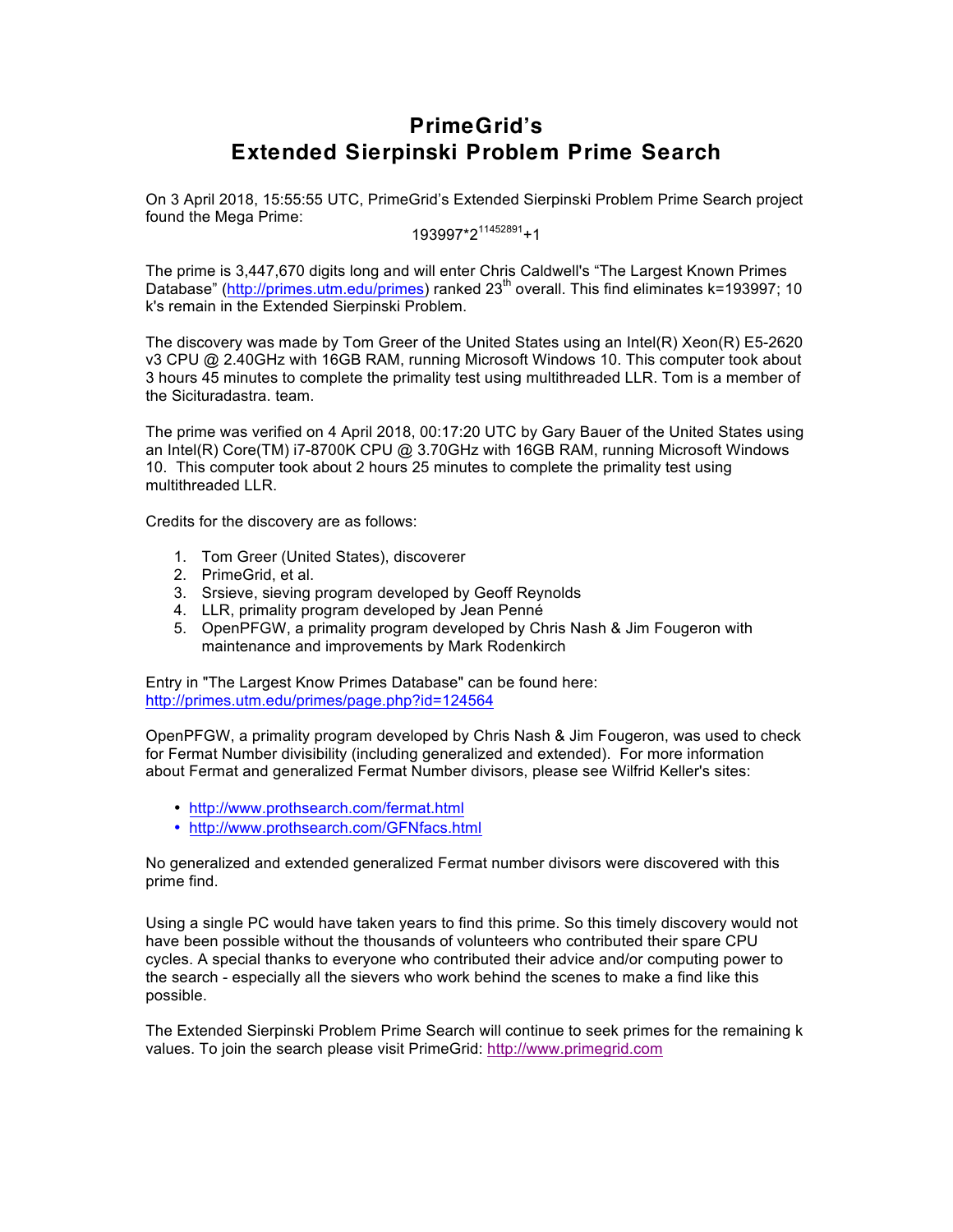# **PrimeGrid's Extended Sierpinski Problem Prime Search**

On 3 April 2018, 15:55:55 UTC, PrimeGrid's Extended Sierpinski Problem Prime Search project found the Mega Prime:

193997\*2<sup>11452891</sup>+1

The prime is 3,447,670 digits long and will enter Chris Caldwell's "The Largest Known Primes Database" (http://primes.utm.edu/primes) ranked 23<sup>th</sup> overall. This find eliminates k=193997; 10 k's remain in the Extended Sierpinski Problem.

The discovery was made by Tom Greer of the United States using an Intel(R) Xeon(R) E5-2620 v3 CPU @ 2.40GHz with 16GB RAM, running Microsoft Windows 10. This computer took about 3 hours 45 minutes to complete the primality test using multithreaded LLR. Tom is a member of the Sicituradastra. team.

The prime was verified on 4 April 2018, 00:17:20 UTC by Gary Bauer of the United States using an Intel(R) Core(TM) i7-8700K CPU @ 3.70GHz with 16GB RAM, running Microsoft Windows 10. This computer took about 2 hours 25 minutes to complete the primality test using multithreaded LLR.

Credits for the discovery are as follows:

- 1. Tom Greer (United States), discoverer
- 2. PrimeGrid, et al.
- 3. Srsieve, sieving program developed by Geoff Reynolds
- 4. LLR, primality program developed by Jean Penné
- 5. OpenPFGW, a primality program developed by Chris Nash & Jim Fougeron with maintenance and improvements by Mark Rodenkirch

Entry in "The Largest Know Primes Database" can be found here: http://primes.utm.edu/primes/page.php?id=124564

OpenPFGW, a primality program developed by Chris Nash & Jim Fougeron, was used to check for Fermat Number divisibility (including generalized and extended). For more information about Fermat and generalized Fermat Number divisors, please see Wilfrid Keller's sites:

- http://www.prothsearch.com/fermat.html
- http://www.prothsearch.com/GFNfacs.html

No generalized and extended generalized Fermat number divisors were discovered with this prime find.

Using a single PC would have taken years to find this prime. So this timely discovery would not have been possible without the thousands of volunteers who contributed their spare CPU cycles. A special thanks to everyone who contributed their advice and/or computing power to the search - especially all the sievers who work behind the scenes to make a find like this possible.

The Extended Sierpinski Problem Prime Search will continue to seek primes for the remaining k values. To join the search please visit PrimeGrid: http://www.primegrid.com